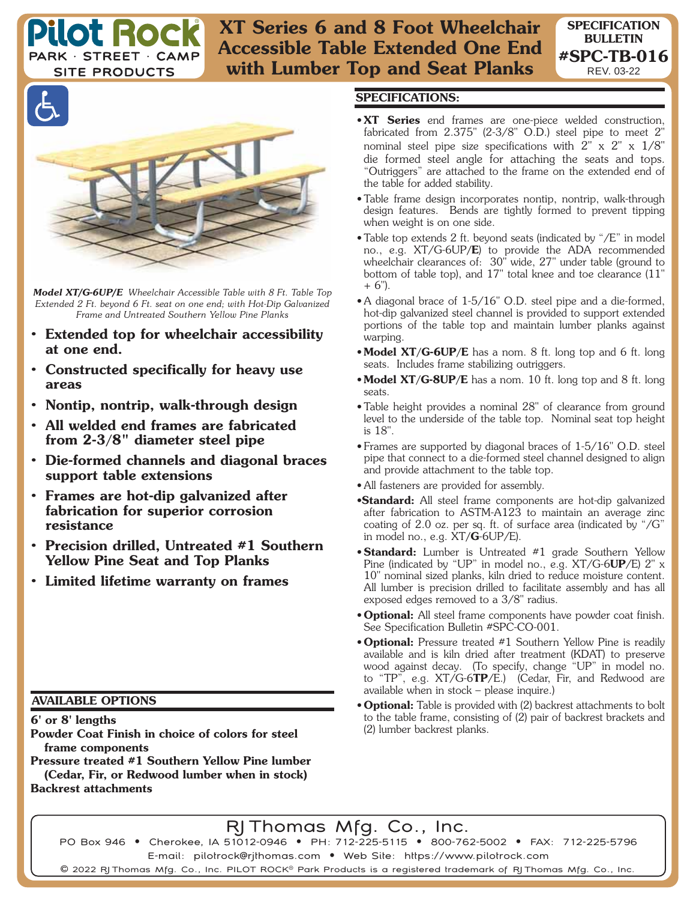**XT Series 6 and 8 Foot Wheelchair Accessible Table Extended One End with Lumber Top and Seat Planks**

**SITE PRODUCTS** 

**Pilot Roc** 

PARK · STREET · CAMP



*Model XT/G-6UP/E Wheelchair Accessible Table with 8 Ft. Table Top Extended 2 Ft. beyond 6 Ft. seat on one end; with Hot-Dip Galvanized Frame and Untreated Southern Yellow Pine Planks* 

- **Extended top for wheelchair accessibility at one end.**
- **Constructed specifically for heavy use areas**
- **Nontip, nontrip, walk-through design**
- **All welded end frames are fabricated from 2-3/8" diameter steel pipe**
- **Die-formed channels and diagonal braces support table extensions**
- **Frames are hot-dip galvanized after fabrication for superior corrosion resistance**
- **Precision drilled, Untreated #1 Southern Yellow Pine Seat and Top Planks**
- **Limited lifetime warranty on frames**

## **AVAILABLE OPTIONS**

**6' or 8' lengths**

**Powder Coat Finish in choice of colors for steel frame components**

**Pressure treated #1 Southern Yellow Pine lumber (Cedar, Fir, or Redwood lumber when in stock) Backrest attachments**

## **SPECIFICATIONS:**

• **XT Series** end frames are one-piece welded construction, fabricated from 2.375" (2-3/8" O.D.) steel pipe to meet 2" nominal steel pipe size specifications with 2" x 2" x 1/8" die formed steel angle for attaching the seats and tops. "Outriggers" are attached to the frame on the extended end of the table for added stability.

**SPECIFICATION BULLETIN #SPC-TB-016** REV. 03-22

- Table frame design incorporates nontip, nontrip, walk-through design features. Bends are tightly formed to prevent tipping when weight is on one side.
- Table top extends 2 ft. beyond seats (indicated by "/E" in model no., e.g. XT/G-6UP**/E**) to provide the ADA recommended wheelchair clearances of: 30" wide, 27" under table (ground to bottom of table top), and 17" total knee and toe clearance (11"  $+ 6$ ").
- A diagonal brace of 1-5/16" O.D. steel pipe and a die-formed, hot-dip galvanized steel channel is provided to support extended portions of the table top and maintain lumber planks against warping.
- **Model XT/G-6UP/E** has a nom. 8 ft. long top and 6 ft. long seats. Includes frame stabilizing outriggers.
- **Model XT/G-8UP/E** has a nom. 10 ft. long top and 8 ft. long seats.
- Table height provides a nominal 28" of clearance from ground level to the underside of the table top. Nominal seat top height is 18".
- Frames are supported by diagonal braces of 1-5/16" O.D. steel pipe that connect to a die-formed steel channel designed to align and provide attachment to the table top.
- All fasteners are provided for assembly.
- •**Standard:** All steel frame components are hot-dip galvanized after fabrication to ASTM-A123 to maintain an average zinc coating of 2.0 oz. per sq. ft. of surface area (indicated by "/G" in model no., e.g. XT**/G**-6UP/E).
- **Standard:** Lumber is Untreated #1 grade Southern Yellow Pine (indicated by "UP" in model no., e.g. XT/G-6**UP**/E) 2" x 10" nominal sized planks, kiln dried to reduce moisture content. All lumber is precision drilled to facilitate assembly and has all exposed edges removed to a 3/8" radius.
- **Optional:** All steel frame components have powder coat finish. See Specification Bulletin #SPC-CO-001.
- **Optional:** Pressure treated #1 Southern Yellow Pine is readily available and is kiln dried after treatment (KDAT) to preserve wood against decay. (To specify, change "UP" in model no. to "TP", e.g. XT/G-6**TP**/E.) (Cedar, Fir, and Redwood are available when in stock – please inquire.)
- **Optional:** Table is provided with (2) backrest attachments to bolt to the table frame, consisting of (2) pair of backrest brackets and (2) lumber backrest planks.

## RJ Thomas Mfg. Co., Inc.

PO Box 946 • Cherokee, IA 51012-0946 • PH: 712-225-5115 • 800-762-5002 • FAX: 712-225-5796 E-mail: pilotrock@rjthomas.com • Web Site: https://www.pilotrock.com

© 2022 RJThomas Mfg. Co., Inc. PILOT ROCK® Park Products is a registered trademark of RJThomas Mfg. Co., Inc.